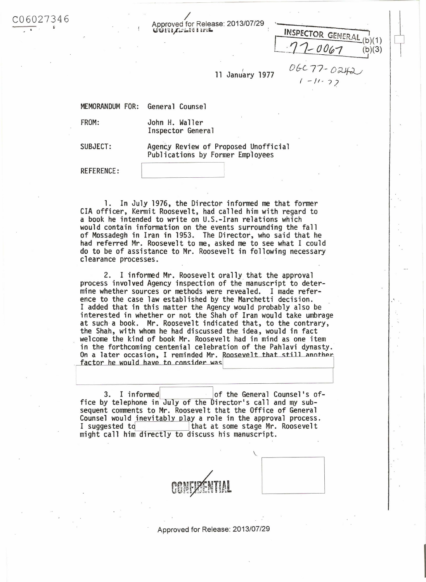Approved for Release: 2013/07/29<br>เรียกมาระเงา กรณ

ut~,u·a)';..; 'i.. ~G a i; t~ il. ~ l INSPECTOR (ir:l\u:o *Il L-*"""l L:; ., ... ....... \_ (b)(1)  $-0067$  (b)(3) OGC 77 - O242

<sup>f</sup>*-/1- 7?* 

11 January 1977

MEMORANDUM FOR: General Counsel

6027346

FROM: John H. Waller Inspector General

SUBJECT: Agency Review of Proposed Unofficial Publications by Former Employees

REFERENCE:

I

1. In July 1976, the Director informed me that former CIA officer, Kermit Roosevelt, had called him with regard to a book he intended to write on U.S.-Iran relations which would contain information on the events surrounding the fall of Mossadegh in Iran in 1953. The Director, who said that he had referred Mr. Roosevelt to me, asked me to see what I could do to be of assistance to Mr. Roosevelt in following necessary clearance processes.

2. I informed Mr. Roosevelt orally that the approval process involved Agency inspection of the manuscript to determine whether sources or methods were revealed. I made reference to the case law established by the Marchetti decision. I added that in this matter the Agency would probably also be interested in whether or not the Shah of Iran would take umbrage at such a book. Mr. Roosevelt indicated that, to the contrary, the Shah, with whom he had discussed the idea, would in fact welcome the kind of book Mr. Roosevelt had in mind as one item in the forthcoming centenial celebration of the Pahlavi dynasty. On a later occasion, I reminded Mr. Roosevelt that still another 1 factor he would have to consider was

3. I informed of the General Counsel's office by telephone in July of the Director's call and my subsequent comments to Mr. Roosevelt that the Office of General Counsel would inevitably play a role in the approval process.<br>I suggested to final at some stage Mr. Roosevelt that at some stage Mr. Roosevelt might call him directly to discuss his manuscript.

Approved for Release: 2013/07/29

 $\sqrt{2\pi}$